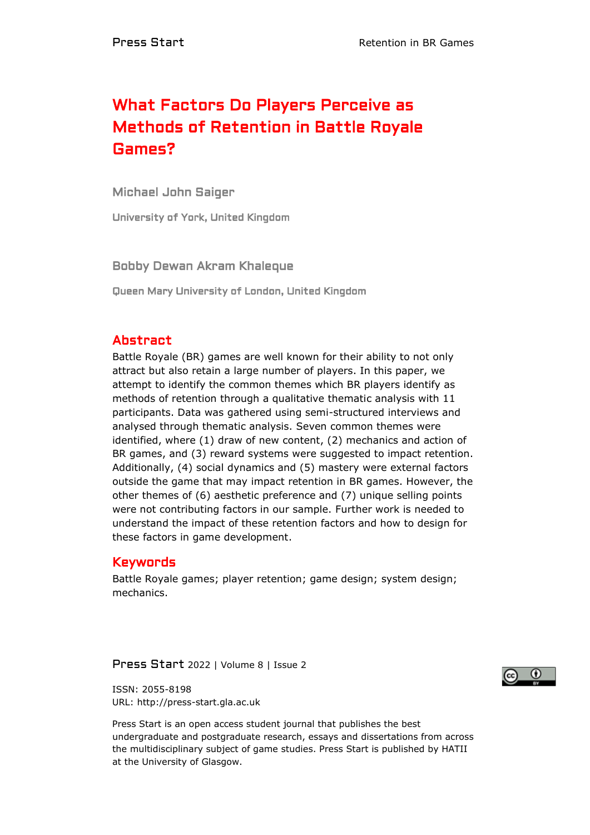# What Factors Do Players Perceive as Methods of Retention in Battle Royale Games?

Michael John Saiger

University of York, United Kingdom

Bobby Dewan Akram Khaleque

Queen Mary University of London, United Kingdom

# Abstract

Battle Royale (BR) games are well known for their ability to not only attract but also retain a large number of players. In this paper, we attempt to identify the common themes which BR players identify as methods of retention through a qualitative thematic analysis with 11 participants. Data was gathered using semi-structured interviews and analysed through thematic analysis. Seven common themes were identified, where (1) draw of new content, (2) mechanics and action of BR games, and (3) reward systems were suggested to impact retention. Additionally, (4) social dynamics and (5) mastery were external factors outside the game that may impact retention in BR games. However, the other themes of (6) aesthetic preference and (7) unique selling points were not contributing factors in our sample. Further work is needed to understand the impact of these retention factors and how to design for these factors in game development.

# Keywords

Battle Royale games; player retention; game design; system design; mechanics.

Press Start 2022 | Volume 8 | Issue 2



ISSN: 2055-8198 URL: http://press-start.gla.ac.uk

Press Start is an open access student journal that publishes the best undergraduate and postgraduate research, essays and dissertations from across the multidisciplinary subject of game studies. Press Start is published by HATII at the University of Glasgow.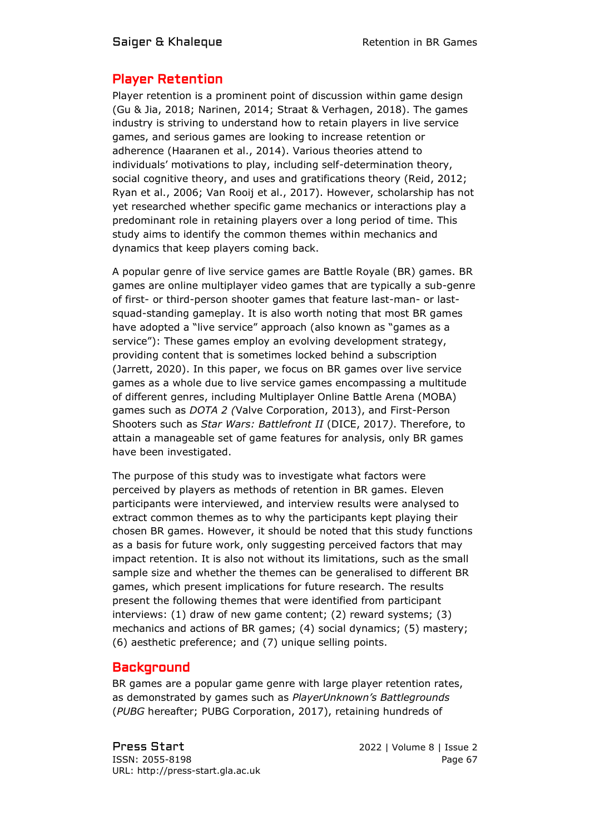# Player Retention

Player retention is a prominent point of discussion within game design (Gu & Jia, 2018; Narinen, 2014; Straat & Verhagen, 2018). The games industry is striving to understand how to retain players in live service games, and serious games are looking to increase retention or adherence (Haaranen et al., 2014). Various theories attend to individuals' motivations to play, including self-determination theory, social cognitive theory, and uses and gratifications theory (Reid, 2012; Ryan et al., 2006; Van Rooij et al., 2017). However, scholarship has not yet researched whether specific game mechanics or interactions play a predominant role in retaining players over a long period of time. This study aims to identify the common themes within mechanics and dynamics that keep players coming back.

A popular genre of live service games are Battle Royale (BR) games. BR games are online multiplayer video games that are typically a sub-genre of first- or third-person shooter games that feature last-man- or lastsquad-standing gameplay. It is also worth noting that most BR games have adopted a "live service" approach (also known as "games as a service"): These games employ an evolving development strategy, providing content that is sometimes locked behind a subscription (Jarrett, 2020). In this paper, we focus on BR games over live service games as a whole due to live service games encompassing a multitude of different genres, including Multiplayer Online Battle Arena (MOBA) games such as *DOTA 2 (*Valve Corporation, 2013), and First-Person Shooters such as *Star Wars: Battlefront II* (DICE, 2017*)*. Therefore, to attain a manageable set of game features for analysis, only BR games have been investigated.

The purpose of this study was to investigate what factors were perceived by players as methods of retention in BR games. Eleven participants were interviewed, and interview results were analysed to extract common themes as to why the participants kept playing their chosen BR games. However, it should be noted that this study functions as a basis for future work, only suggesting perceived factors that may impact retention. It is also not without its limitations, such as the small sample size and whether the themes can be generalised to different BR games, which present implications for future research. The results present the following themes that were identified from participant interviews: (1) draw of new game content; (2) reward systems; (3) mechanics and actions of BR games; (4) social dynamics; (5) mastery; (6) aesthetic preference; and (7) unique selling points.

# **Background**

BR games are a popular game genre with large player retention rates, as demonstrated by games such as *PlayerUnknown's Battlegrounds* (*PUBG* hereafter; PUBG Corporation, 2017), retaining hundreds of

Press Start 2022 | Volume 8 | Issue 2 ISSN: 2055-8198 Page 67 URL: http://press-start.gla.ac.uk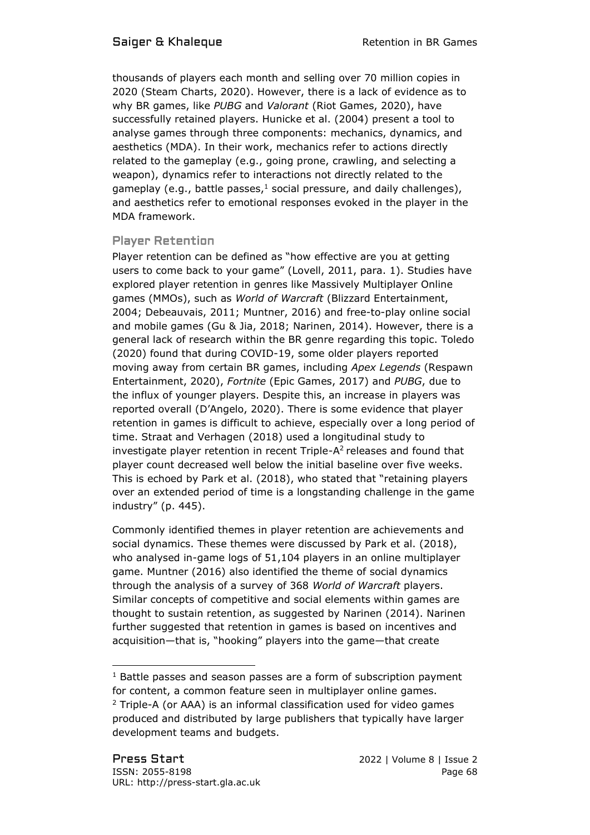thousands of players each month and selling over 70 million copies in 2020 (Steam Charts, 2020). However, there is a lack of evidence as to why BR games, like *PUBG* and *Valorant* (Riot Games, 2020), have successfully retained players. Hunicke et al. (2004) present a tool to analyse games through three components: mechanics, dynamics, and aesthetics (MDA). In their work, mechanics refer to actions directly related to the gameplay (e.g., going prone, crawling, and selecting a weapon), dynamics refer to interactions not directly related to the gameplay (e.g., battle passes,<sup>1</sup> social pressure, and daily challenges), and aesthetics refer to emotional responses evoked in the player in the MDA framework.

### Player Retention

Player retention can be defined as "how effective are you at getting users to come back to your game" (Lovell, 2011, para. 1). Studies have explored player retention in genres like Massively Multiplayer Online games (MMOs), such as *World of Warcraft* (Blizzard Entertainment, 2004; Debeauvais, 2011; Muntner, 2016) and free-to-play online social and mobile games (Gu & Jia, 2018; Narinen, 2014). However, there is a general lack of research within the BR genre regarding this topic. Toledo (2020) found that during COVID-19, some older players reported moving away from certain BR games, including *Apex Legends* (Respawn Entertainment, 2020), *Fortnite* (Epic Games, 2017) and *PUBG*, due to the influx of younger players. Despite this, an increase in players was reported overall (D'Angelo, 2020). There is some evidence that player retention in games is difficult to achieve, especially over a long period of time. Straat and Verhagen (2018) used a longitudinal study to investigate player retention in recent Triple- $A<sup>2</sup>$  releases and found that player count decreased well below the initial baseline over five weeks. This is echoed by Park et al. (2018), who stated that "retaining players over an extended period of time is a longstanding challenge in the game industry" (p. 445).

Commonly identified themes in player retention are achievements and social dynamics. These themes were discussed by Park et al. (2018), who analysed in-game logs of 51,104 players in an online multiplayer game. Muntner (2016) also identified the theme of social dynamics through the analysis of a survey of 368 *World of Warcraft* players. Similar concepts of competitive and social elements within games are thought to sustain retention, as suggested by Narinen (2014). Narinen further suggested that retention in games is based on incentives and acquisition—that is, "hooking" players into the game—that create

 $1$  Battle passes and season passes are a form of subscription payment for content, a common feature seen in multiplayer online games.  $2$  Triple-A (or AAA) is an informal classification used for video games produced and distributed by large publishers that typically have larger development teams and budgets.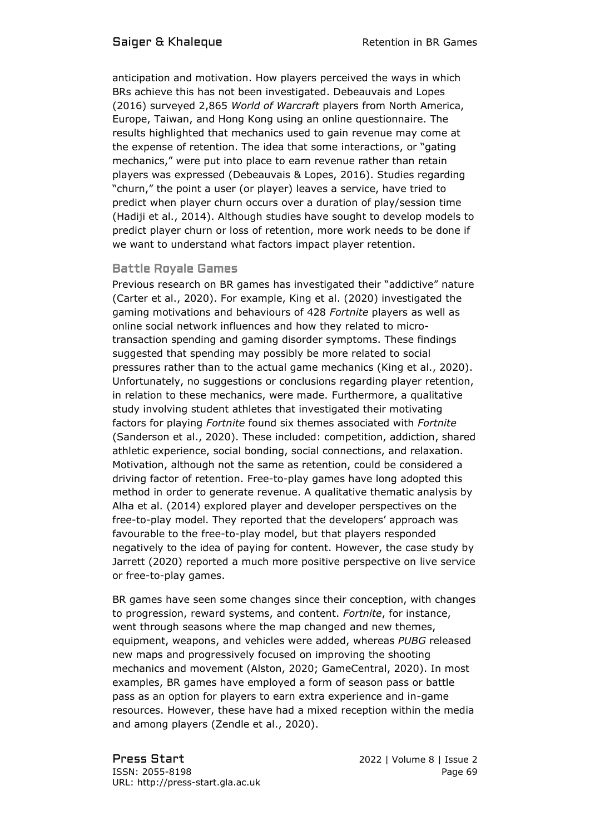anticipation and motivation. How players perceived the ways in which BRs achieve this has not been investigated. Debeauvais and Lopes (2016) surveyed 2,865 *World of Warcraft* players from North America, Europe, Taiwan, and Hong Kong using an online questionnaire. The results highlighted that mechanics used to gain revenue may come at the expense of retention. The idea that some interactions, or "gating mechanics," were put into place to earn revenue rather than retain players was expressed (Debeauvais & Lopes, 2016). Studies regarding "churn," the point a user (or player) leaves a service, have tried to predict when player churn occurs over a duration of play/session time (Hadiji et al., 2014). Although studies have sought to develop models to predict player churn or loss of retention, more work needs to be done if we want to understand what factors impact player retention.

#### Battle Royale Games

Previous research on BR games has investigated their "addictive" nature (Carter et al., 2020). For example, King et al. (2020) investigated the gaming motivations and behaviours of 428 *Fortnite* players as well as online social network influences and how they related to microtransaction spending and gaming disorder symptoms. These findings suggested that spending may possibly be more related to social pressures rather than to the actual game mechanics (King et al., 2020). Unfortunately, no suggestions or conclusions regarding player retention, in relation to these mechanics, were made. Furthermore, a qualitative study involving student athletes that investigated their motivating factors for playing *Fortnite* found six themes associated with *Fortnite* (Sanderson et al., 2020). These included: competition, addiction, shared athletic experience, social bonding, social connections, and relaxation. Motivation, although not the same as retention, could be considered a driving factor of retention. Free-to-play games have long adopted this method in order to generate revenue. A qualitative thematic analysis by Alha et al. (2014) explored player and developer perspectives on the free-to-play model. They reported that the developers' approach was favourable to the free-to-play model, but that players responded negatively to the idea of paying for content. However, the case study by Jarrett (2020) reported a much more positive perspective on live service or free-to-play games.

BR games have seen some changes since their conception, with changes to progression, reward systems, and content. *Fortnite*, for instance, went through seasons where the map changed and new themes, equipment, weapons, and vehicles were added, whereas *PUBG* released new maps and progressively focused on improving the shooting mechanics and movement (Alston, 2020; GameCentral, 2020). In most examples, BR games have employed a form of season pass or battle pass as an option for players to earn extra experience and in-game resources. However, these have had a mixed reception within the media and among players (Zendle et al., 2020).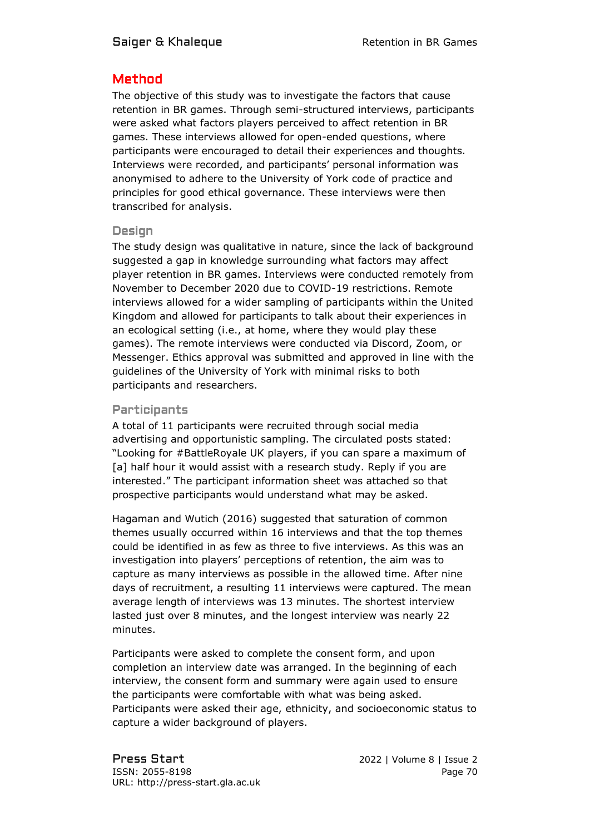# Method

The objective of this study was to investigate the factors that cause retention in BR games. Through semi-structured interviews, participants were asked what factors players perceived to affect retention in BR games. These interviews allowed for open-ended questions, where participants were encouraged to detail their experiences and thoughts. Interviews were recorded, and participants' personal information was anonymised to adhere to the University of York code of practice and principles for good ethical governance. These interviews were then transcribed for analysis.

#### Design

The study design was qualitative in nature, since the lack of background suggested a gap in knowledge surrounding what factors may affect player retention in BR games. Interviews were conducted remotely from November to December 2020 due to COVID-19 restrictions. Remote interviews allowed for a wider sampling of participants within the United Kingdom and allowed for participants to talk about their experiences in an ecological setting (i.e., at home, where they would play these games). The remote interviews were conducted via Discord, Zoom, or Messenger. Ethics approval was submitted and approved in line with the guidelines of the University of York with minimal risks to both participants and researchers.

### Participants

A total of 11 participants were recruited through social media advertising and opportunistic sampling. The circulated posts stated: "Looking for #BattleRoyale UK players, if you can spare a maximum of [a] half hour it would assist with a research study. Reply if you are interested." The participant information sheet was attached so that prospective participants would understand what may be asked.

Hagaman and Wutich (2016) suggested that saturation of common themes usually occurred within 16 interviews and that the top themes could be identified in as few as three to five interviews. As this was an investigation into players' perceptions of retention, the aim was to capture as many interviews as possible in the allowed time. After nine days of recruitment, a resulting 11 interviews were captured. The mean average length of interviews was 13 minutes. The shortest interview lasted just over 8 minutes, and the longest interview was nearly 22 minutes.

Participants were asked to complete the consent form, and upon completion an interview date was arranged. In the beginning of each interview, the consent form and summary were again used to ensure the participants were comfortable with what was being asked. Participants were asked their age, ethnicity, and socioeconomic status to capture a wider background of players.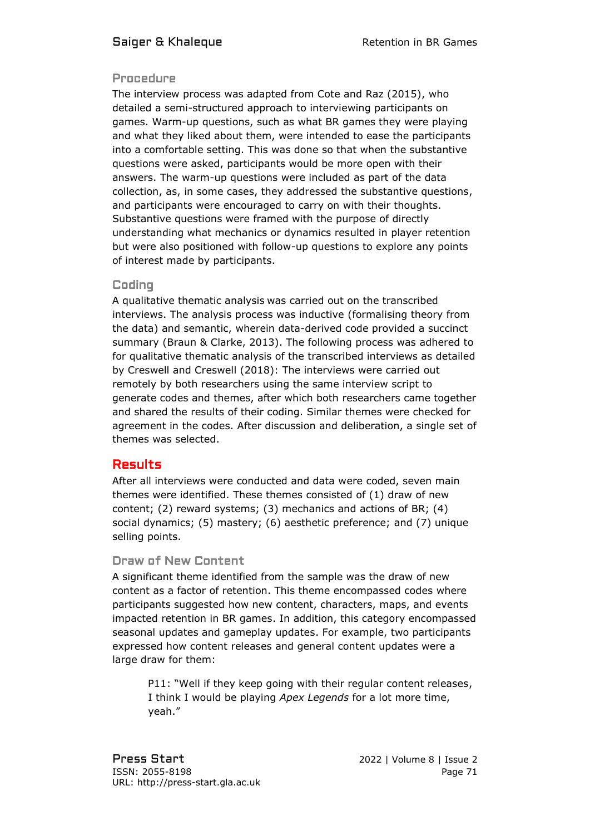#### Procedure

The interview process was adapted from Cote and Raz (2015), who detailed a semi-structured approach to interviewing participants on games. Warm-up questions, such as what BR games they were playing and what they liked about them, were intended to ease the participants into a comfortable setting. This was done so that when the substantive questions were asked, participants would be more open with their answers. The warm-up questions were included as part of the data collection, as, in some cases, they addressed the substantive questions, and participants were encouraged to carry on with their thoughts. Substantive questions were framed with the purpose of directly understanding what mechanics or dynamics resulted in player retention but were also positioned with follow-up questions to explore any points of interest made by participants.

### Coding

A qualitative thematic analysis was carried out on the transcribed interviews. The analysis process was inductive (formalising theory from the data) and semantic, wherein data-derived code provided a succinct summary (Braun & Clarke, 2013). The following process was adhered to for qualitative thematic analysis of the transcribed interviews as detailed by Creswell and Creswell (2018): The interviews were carried out remotely by both researchers using the same interview script to generate codes and themes, after which both researchers came together and shared the results of their coding. Similar themes were checked for agreement in the codes. After discussion and deliberation, a single set of themes was selected.

# Results

After all interviews were conducted and data were coded, seven main themes were identified. These themes consisted of (1) draw of new content; (2) reward systems; (3) mechanics and actions of BR; (4) social dynamics; (5) mastery; (6) aesthetic preference; and (7) unique selling points.

#### Draw of New Content

A significant theme identified from the sample was the draw of new content as a factor of retention. This theme encompassed codes where participants suggested how new content, characters, maps, and events impacted retention in BR games. In addition, this category encompassed seasonal updates and gameplay updates. For example, two participants expressed how content releases and general content updates were a large draw for them:

P11: "Well if they keep going with their regular content releases, I think I would be playing *Apex Legends* for a lot more time, yeah."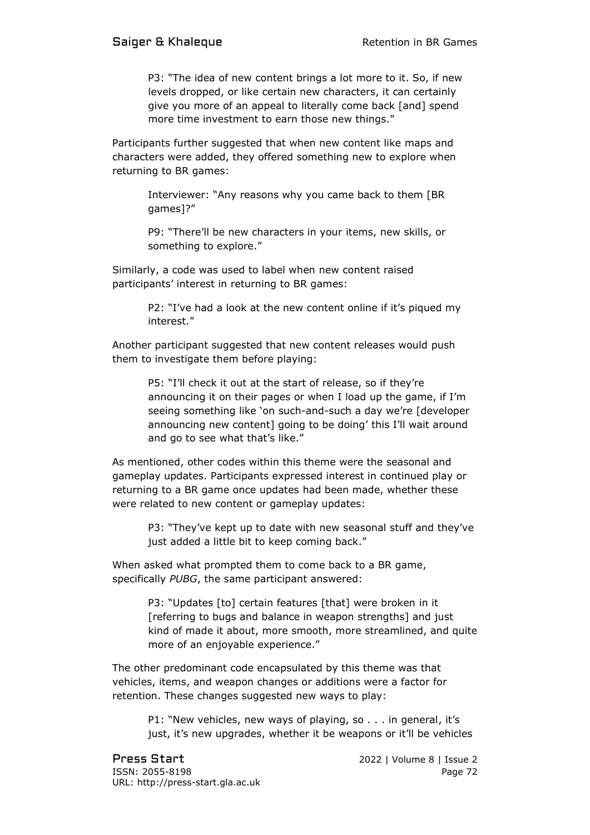P3: "The idea of new content brings a lot more to it. So, if new levels dropped, or like certain new characters, it can certainly give you more of an appeal to literally come back [and] spend more time investment to earn those new things."

Participants further suggested that when new content like maps and characters were added, they offered something new to explore when returning to BR games:

> Interviewer: "Any reasons why you came back to them [BR games]?"

> P9: "There'll be new characters in your items, new skills, or something to explore."

Similarly, a code was used to label when new content raised participants' interest in returning to BR games:

> P2: "I've had a look at the new content online if it's piqued my interest."

Another participant suggested that new content releases would push them to investigate them before playing:

> P5: "I'll check it out at the start of release, so if they're announcing it on their pages or when I load up the game, if I'm seeing something like 'on such-and-such a day we're [developer announcing new content] going to be doing' this I'll wait around and go to see what that's like."

As mentioned, other codes within this theme were the seasonal and gameplay updates. Participants expressed interest in continued play or returning to a BR game once updates had been made, whether these were related to new content or gameplay updates:

P3: "They've kept up to date with new seasonal stuff and they've just added a little bit to keep coming back."

When asked what prompted them to come back to a BR game, specifically *PUBG*, the same participant answered:

> P3: "Updates [to] certain features [that] were broken in it [referring to bugs and balance in weapon strengths] and just kind of made it about, more smooth, more streamlined, and quite more of an enjoyable experience."

The other predominant code encapsulated by this theme was that vehicles, items, and weapon changes or additions were a factor for retention. These changes suggested new ways to play:

> P1: "New vehicles, new ways of playing, so . . . in general, it's just, it's new upgrades, whether it be weapons or it'll be vehicles

Press Start 2022 | Volume 8 | Issue 2 ISSN: 2055-8198 Page 72 URL: http://press-start.gla.ac.uk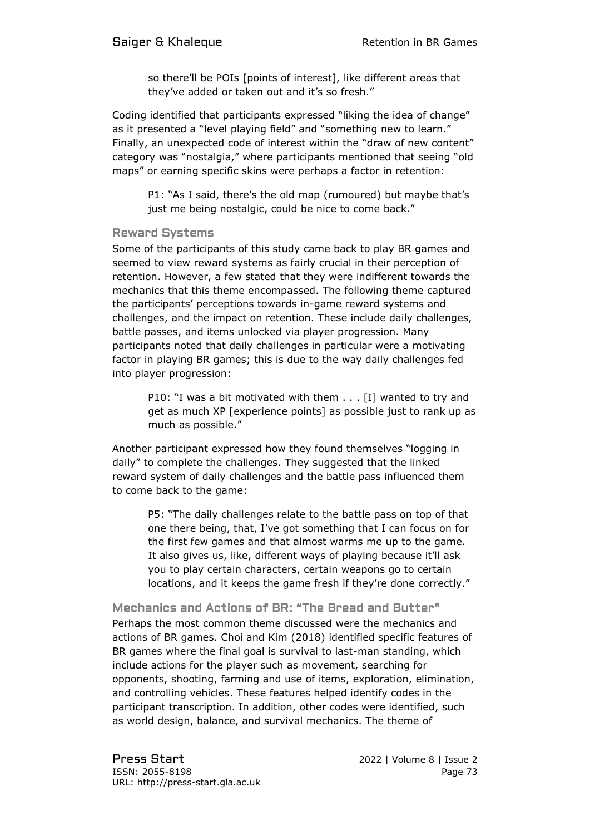so there'll be POIs [points of interest], like different areas that they've added or taken out and it's so fresh."

Coding identified that participants expressed "liking the idea of change" as it presented a "level playing field" and "something new to learn." Finally, an unexpected code of interest within the "draw of new content" category was "nostalgia," where participants mentioned that seeing "old maps" or earning specific skins were perhaps a factor in retention:

P1: "As I said, there's the old map (rumoured) but maybe that's just me being nostalgic, could be nice to come back."

#### Reward Systems

Some of the participants of this study came back to play BR games and seemed to view reward systems as fairly crucial in their perception of retention. However, a few stated that they were indifferent towards the mechanics that this theme encompassed. The following theme captured the participants' perceptions towards in-game reward systems and challenges, and the impact on retention. These include daily challenges, battle passes, and items unlocked via player progression. Many participants noted that daily challenges in particular were a motivating factor in playing BR games; this is due to the way daily challenges fed into player progression:

P10: "I was a bit motivated with them . . . [I] wanted to try and get as much XP [experience points] as possible just to rank up as much as possible."

Another participant expressed how they found themselves "logging in daily" to complete the challenges. They suggested that the linked reward system of daily challenges and the battle pass influenced them to come back to the game:

P5: "The daily challenges relate to the battle pass on top of that one there being, that, I've got something that I can focus on for the first few games and that almost warms me up to the game. It also gives us, like, different ways of playing because it'll ask you to play certain characters, certain weapons go to certain locations, and it keeps the game fresh if they're done correctly."

Mechanics and Actions of BR: "The Bread and Butter" Perhaps the most common theme discussed were the mechanics and actions of BR games. Choi and Kim (2018) identified specific features of BR games where the final goal is survival to last-man standing, which include actions for the player such as movement, searching for opponents, shooting, farming and use of items, exploration, elimination, and controlling vehicles. These features helped identify codes in the participant transcription. In addition, other codes were identified, such as world design, balance, and survival mechanics. The theme of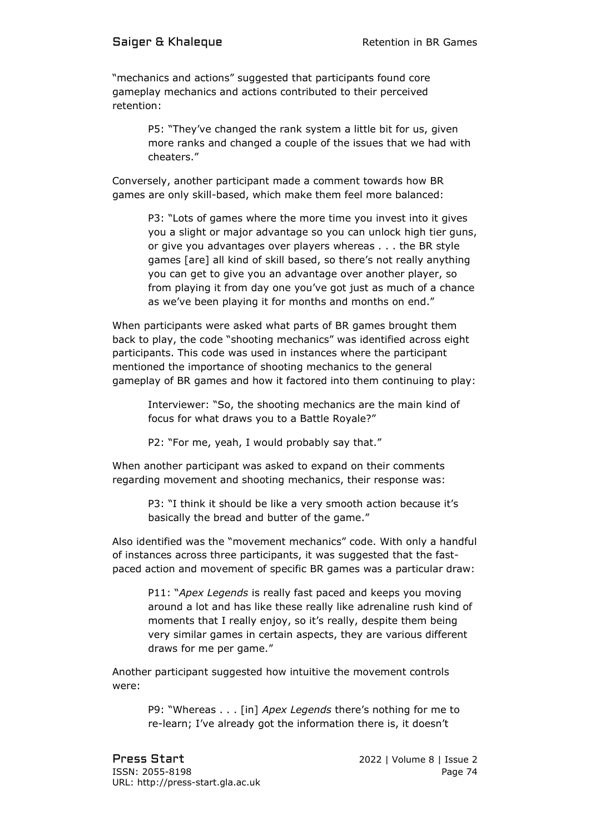"mechanics and actions" suggested that participants found core gameplay mechanics and actions contributed to their perceived retention:

> P5: "They've changed the rank system a little bit for us, given more ranks and changed a couple of the issues that we had with cheaters."

Conversely, another participant made a comment towards how BR games are only skill-based, which make them feel more balanced:

> P3: "Lots of games where the more time you invest into it gives you a slight or major advantage so you can unlock high tier guns, or give you advantages over players whereas . . . the BR style games [are] all kind of skill based, so there's not really anything you can get to give you an advantage over another player, so from playing it from day one you've got just as much of a chance as we've been playing it for months and months on end."

When participants were asked what parts of BR games brought them back to play, the code "shooting mechanics" was identified across eight participants. This code was used in instances where the participant mentioned the importance of shooting mechanics to the general gameplay of BR games and how it factored into them continuing to play:

Interviewer: "So, the shooting mechanics are the main kind of focus for what draws you to a Battle Royale?"

P2: "For me, yeah, I would probably say that."

When another participant was asked to expand on their comments regarding movement and shooting mechanics, their response was:

> P3: "I think it should be like a very smooth action because it's basically the bread and butter of the game."

Also identified was the "movement mechanics" code. With only a handful of instances across three participants, it was suggested that the fastpaced action and movement of specific BR games was a particular draw:

P11: "*Apex Legends* is really fast paced and keeps you moving around a lot and has like these really like adrenaline rush kind of moments that I really enjoy, so it's really, despite them being very similar games in certain aspects, they are various different draws for me per game."

Another participant suggested how intuitive the movement controls were:

> P9: "Whereas . . . [in] *Apex Legends* there's nothing for me to re-learn; I've already got the information there is, it doesn't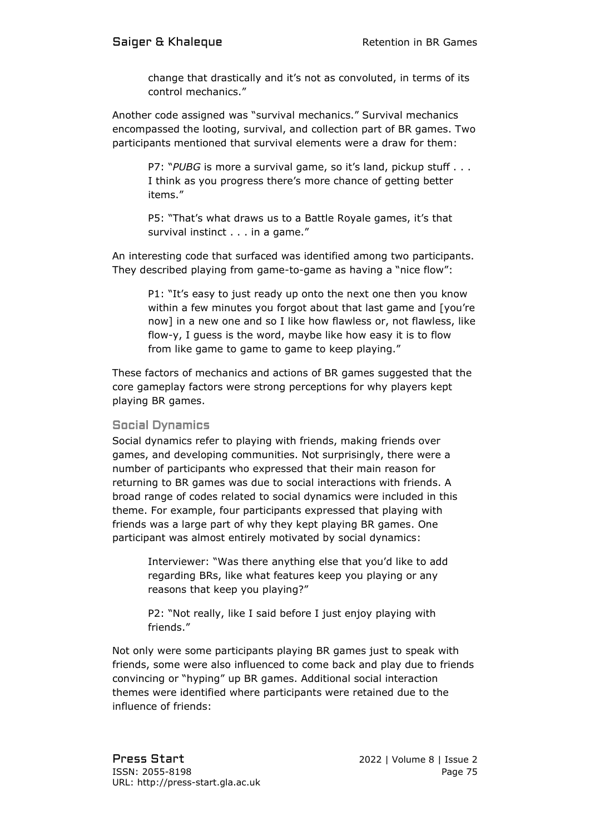change that drastically and it's not as convoluted, in terms of its control mechanics."

Another code assigned was "survival mechanics." Survival mechanics encompassed the looting, survival, and collection part of BR games. Two participants mentioned that survival elements were a draw for them:

P7: "PUBG is more a survival game, so it's land, pickup stuff . . . I think as you progress there's more chance of getting better items."

P5: "That's what draws us to a Battle Royale games, it's that survival instinct . . . in a game."

An interesting code that surfaced was identified among two participants. They described playing from game-to-game as having a "nice flow":

P1: "It's easy to just ready up onto the next one then you know within a few minutes you forgot about that last game and [you're now] in a new one and so I like how flawless or, not flawless, like flow-y, I guess is the word, maybe like how easy it is to flow from like game to game to game to keep playing."

These factors of mechanics and actions of BR games suggested that the core gameplay factors were strong perceptions for why players kept playing BR games.

#### Social Dynamics

Social dynamics refer to playing with friends, making friends over games, and developing communities. Not surprisingly, there were a number of participants who expressed that their main reason for returning to BR games was due to social interactions with friends. A broad range of codes related to social dynamics were included in this theme. For example, four participants expressed that playing with friends was a large part of why they kept playing BR games. One participant was almost entirely motivated by social dynamics:

Interviewer: "Was there anything else that you'd like to add regarding BRs, like what features keep you playing or any reasons that keep you playing?"

P2: "Not really, like I said before I just enjoy playing with friends."

Not only were some participants playing BR games just to speak with friends, some were also influenced to come back and play due to friends convincing or "hyping" up BR games. Additional social interaction themes were identified where participants were retained due to the influence of friends: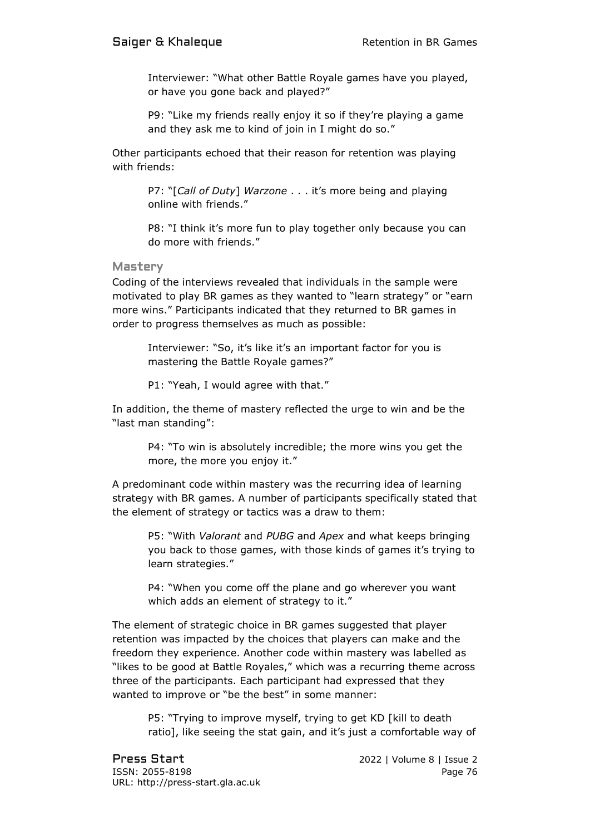Interviewer: "What other Battle Royale games have you played, or have you gone back and played?"

P9: "Like my friends really enjoy it so if they're playing a game and they ask me to kind of join in I might do so."

Other participants echoed that their reason for retention was playing with friends:

> P7: "[*Call of Duty*] *Warzone* . . . it's more being and playing online with friends."

P8: "I think it's more fun to play together only because you can do more with friends."

Mastery

Coding of the interviews revealed that individuals in the sample were motivated to play BR games as they wanted to "learn strategy" or "earn more wins." Participants indicated that they returned to BR games in order to progress themselves as much as possible:

Interviewer: "So, it's like it's an important factor for you is mastering the Battle Royale games?"

P1: "Yeah, I would agree with that."

In addition, the theme of mastery reflected the urge to win and be the "last man standing":

P4: "To win is absolutely incredible; the more wins you get the more, the more you enjoy it."

A predominant code within mastery was the recurring idea of learning strategy with BR games. A number of participants specifically stated that the element of strategy or tactics was a draw to them:

P5: "With *Valorant* and *PUBG* and *Apex* and what keeps bringing you back to those games, with those kinds of games it's trying to learn strategies."

P4: "When you come off the plane and go wherever you want which adds an element of strategy to it."

The element of strategic choice in BR games suggested that player retention was impacted by the choices that players can make and the freedom they experience. Another code within mastery was labelled as "likes to be good at Battle Royales," which was a recurring theme across three of the participants. Each participant had expressed that they wanted to improve or "be the best" in some manner:

P5: "Trying to improve myself, trying to get KD [kill to death ratio], like seeing the stat gain, and it's just a comfortable way of

Press Start 2022 | Volume 8 | Issue 2 ISSN: 2055-8198 Page 76 URL: http://press-start.gla.ac.uk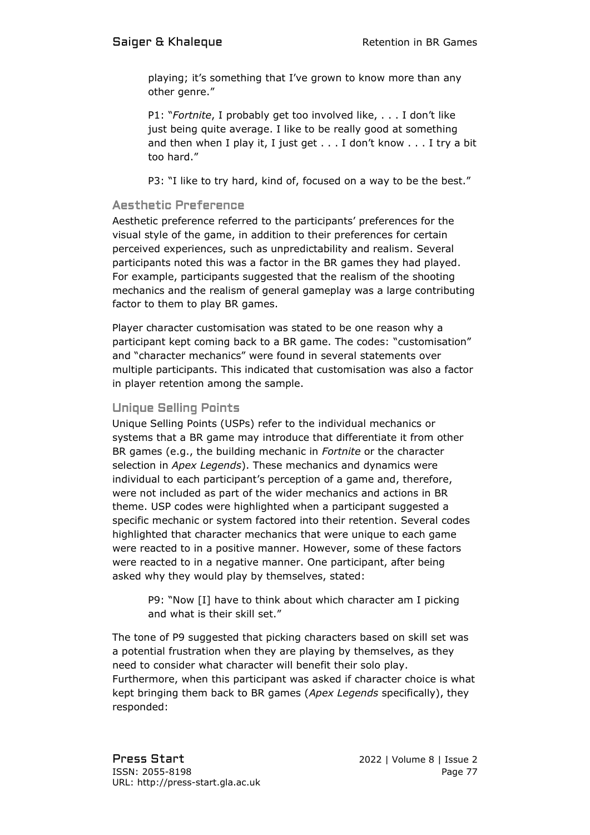playing; it's something that I've grown to know more than any other genre."

P1: "*Fortnite*, I probably get too involved like, . . . I don't like just being quite average. I like to be really good at something and then when I play it, I just get . . . I don't know . . . I try a bit too hard."

P3: "I like to try hard, kind of, focused on a way to be the best."

#### Aesthetic Preference

Aesthetic preference referred to the participants' preferences for the visual style of the game, in addition to their preferences for certain perceived experiences, such as unpredictability and realism. Several participants noted this was a factor in the BR games they had played. For example, participants suggested that the realism of the shooting mechanics and the realism of general gameplay was a large contributing factor to them to play BR games.

Player character customisation was stated to be one reason why a participant kept coming back to a BR game. The codes: "customisation" and "character mechanics" were found in several statements over multiple participants. This indicated that customisation was also a factor in player retention among the sample.

#### Unique Selling Points

Unique Selling Points (USPs) refer to the individual mechanics or systems that a BR game may introduce that differentiate it from other BR games (e.g., the building mechanic in *Fortnite* or the character selection in *Apex Legends*). These mechanics and dynamics were individual to each participant's perception of a game and, therefore, were not included as part of the wider mechanics and actions in BR theme. USP codes were highlighted when a participant suggested a specific mechanic or system factored into their retention. Several codes highlighted that character mechanics that were unique to each game were reacted to in a positive manner. However, some of these factors were reacted to in a negative manner. One participant, after being asked why they would play by themselves, stated:

P9: "Now [I] have to think about which character am I picking and what is their skill set."

The tone of P9 suggested that picking characters based on skill set was a potential frustration when they are playing by themselves, as they need to consider what character will benefit their solo play. Furthermore, when this participant was asked if character choice is what kept bringing them back to BR games (*Apex Legends* specifically), they responded: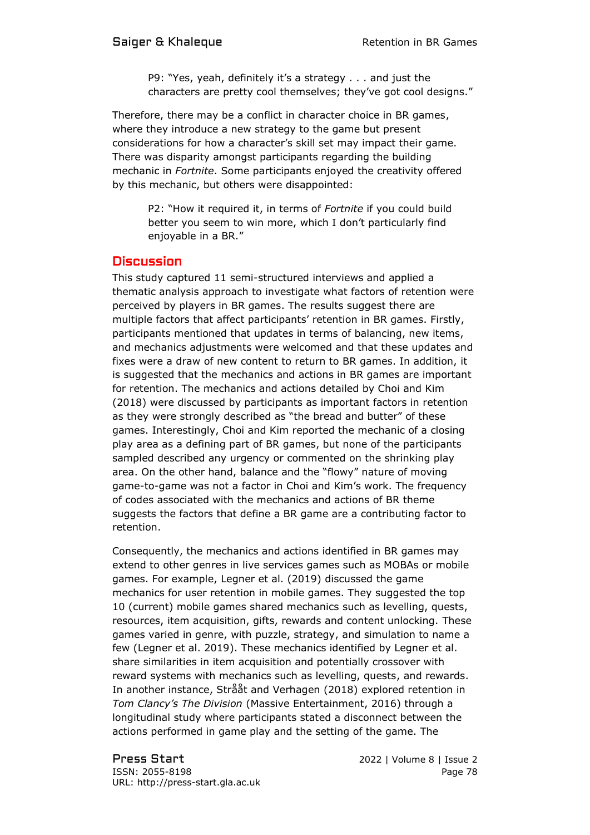P9: "Yes, yeah, definitely it's a strategy . . . and just the characters are pretty cool themselves; they've got cool designs."

Therefore, there may be a conflict in character choice in BR games, where they introduce a new strategy to the game but present considerations for how a character's skill set may impact their game. There was disparity amongst participants regarding the building mechanic in *Fortnite*. Some participants enjoyed the creativity offered by this mechanic, but others were disappointed:

> P2: "How it required it, in terms of *Fortnite* if you could build better you seem to win more, which I don't particularly find enjoyable in a BR."

### **Discussion**

This study captured 11 semi-structured interviews and applied a thematic analysis approach to investigate what factors of retention were perceived by players in BR games. The results suggest there are multiple factors that affect participants' retention in BR games. Firstly, participants mentioned that updates in terms of balancing, new items, and mechanics adjustments were welcomed and that these updates and fixes were a draw of new content to return to BR games. In addition, it is suggested that the mechanics and actions in BR games are important for retention. The mechanics and actions detailed by Choi and Kim (2018) were discussed by participants as important factors in retention as they were strongly described as "the bread and butter" of these games. Interestingly, Choi and Kim reported the mechanic of a closing play area as a defining part of BR games, but none of the participants sampled described any urgency or commented on the shrinking play area. On the other hand, balance and the "flowy" nature of moving game-to-game was not a factor in Choi and Kim's work. The frequency of codes associated with the mechanics and actions of BR theme suggests the factors that define a BR game are a contributing factor to retention.

Consequently, the mechanics and actions identified in BR games may extend to other genres in live services games such as MOBAs or mobile games. For example, Legner et al. (2019) discussed the game mechanics for user retention in mobile games. They suggested the top 10 (current) mobile games shared mechanics such as levelling, quests, resources, item acquisition, gifts, rewards and content unlocking. These games varied in genre, with puzzle, strategy, and simulation to name a few (Legner et al. 2019). These mechanics identified by Legner et al. share similarities in item acquisition and potentially crossover with reward systems with mechanics such as levelling, quests, and rewards. In another instance, Strååt and Verhagen (2018) explored retention in *Tom Clancy's The Division* (Massive Entertainment, 2016) through a longitudinal study where participants stated a disconnect between the actions performed in game play and the setting of the game. The

Press Start 2022 | Volume 8 | Issue 2 ISSN: 2055-8198 Page 78 URL: http://press-start.gla.ac.uk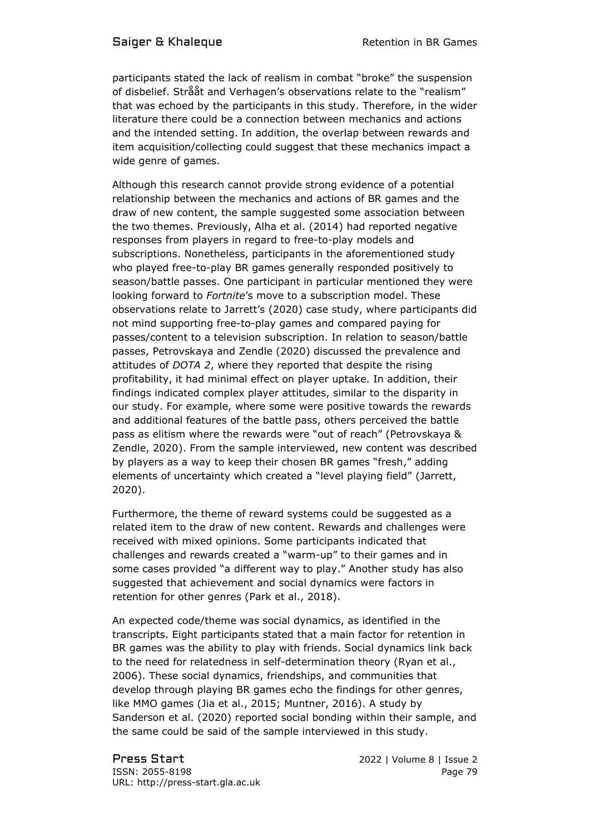participants stated the lack of realism in combat "broke" the suspension of disbelief. Strååt and Verhagen's observations relate to the "realism" that was echoed by the participants in this study. Therefore, in the wider literature there could be a connection between mechanics and actions and the intended setting. In addition, the overlap between rewards and item acquisition/collecting could suggest that these mechanics impact a wide genre of games.

Although this research cannot provide strong evidence of a potential relationship between the mechanics and actions of BR games and the draw of new content, the sample suggested some association between the two themes. Previously, Alha et al. (2014) had reported negative responses from players in regard to free-to-play models and subscriptions. Nonetheless, participants in the aforementioned study who played free-to-play BR games generally responded positively to season/battle passes. One participant in particular mentioned they were looking forward to *Fortnite*'s move to a subscription model. These observations relate to Jarrett's (2020) case study, where participants did not mind supporting free-to-play games and compared paying for passes/content to a television subscription. In relation to season/battle passes, Petrovskaya and Zendle (2020) discussed the prevalence and attitudes of *DOTA 2*, where they reported that despite the rising profitability, it had minimal effect on player uptake. In addition, their findings indicated complex player attitudes, similar to the disparity in our study. For example, where some were positive towards the rewards and additional features of the battle pass, others perceived the battle pass as elitism where the rewards were "out of reach" (Petrovskaya & Zendle, 2020). From the sample interviewed, new content was described by players as a way to keep their chosen BR games "fresh," adding elements of uncertainty which created a "level playing field" (Jarrett, 2020).

Furthermore, the theme of reward systems could be suggested as a related item to the draw of new content. Rewards and challenges were received with mixed opinions. Some participants indicated that challenges and rewards created a "warm-up" to their games and in some cases provided "a different way to play." Another study has also suggested that achievement and social dynamics were factors in retention for other genres (Park et al., 2018).

An expected code/theme was social dynamics, as identified in the transcripts. Eight participants stated that a main factor for retention in BR games was the ability to play with friends. Social dynamics link back to the need for relatedness in self-determination theory (Ryan et al., 2006). These social dynamics, friendships, and communities that develop through playing BR games echo the findings for other genres, like MMO games (Jia et al., 2015; Muntner, 2016). A study by Sanderson et al. (2020) reported social bonding within their sample, and the same could be said of the sample interviewed in this study.

Press Start 2022 | Volume 8 | Issue 2 ISSN: 2055-8198 Page 79 URL: http://press-start.gla.ac.uk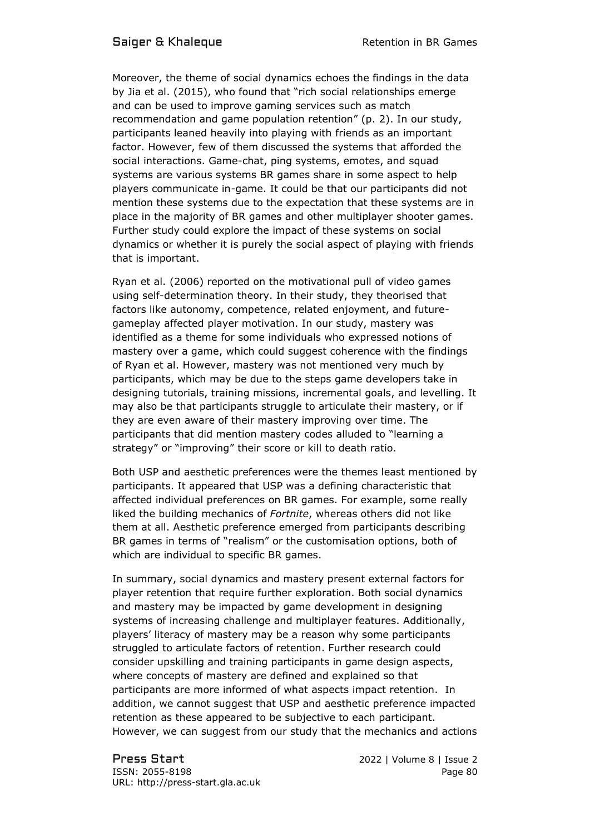Moreover, the theme of social dynamics echoes the findings in the data by Jia et al. (2015), who found that "rich social relationships emerge and can be used to improve gaming services such as match recommendation and game population retention" (p. 2). In our study, participants leaned heavily into playing with friends as an important factor. However, few of them discussed the systems that afforded the social interactions. Game-chat, ping systems, emotes, and squad systems are various systems BR games share in some aspect to help players communicate in-game. It could be that our participants did not mention these systems due to the expectation that these systems are in place in the majority of BR games and other multiplayer shooter games. Further study could explore the impact of these systems on social dynamics or whether it is purely the social aspect of playing with friends that is important.

Ryan et al. (2006) reported on the motivational pull of video games using self-determination theory. In their study, they theorised that factors like autonomy, competence, related enjoyment, and futuregameplay affected player motivation. In our study, mastery was identified as a theme for some individuals who expressed notions of mastery over a game, which could suggest coherence with the findings of Ryan et al. However, mastery was not mentioned very much by participants, which may be due to the steps game developers take in designing tutorials, training missions, incremental goals, and levelling. It may also be that participants struggle to articulate their mastery, or if they are even aware of their mastery improving over time. The participants that did mention mastery codes alluded to "learning a strategy" or "improving" their score or kill to death ratio.

Both USP and aesthetic preferences were the themes least mentioned by participants. It appeared that USP was a defining characteristic that affected individual preferences on BR games. For example, some really liked the building mechanics of *Fortnite*, whereas others did not like them at all. Aesthetic preference emerged from participants describing BR games in terms of "realism" or the customisation options, both of which are individual to specific BR games.

In summary, social dynamics and mastery present external factors for player retention that require further exploration. Both social dynamics and mastery may be impacted by game development in designing systems of increasing challenge and multiplayer features. Additionally, players' literacy of mastery may be a reason why some participants struggled to articulate factors of retention. Further research could consider upskilling and training participants in game design aspects, where concepts of mastery are defined and explained so that participants are more informed of what aspects impact retention. In addition, we cannot suggest that USP and aesthetic preference impacted retention as these appeared to be subjective to each participant. However, we can suggest from our study that the mechanics and actions

Press Start 2022 | Volume 8 | Issue 2 ISSN: 2055-8198 Page 80 URL: http://press-start.gla.ac.uk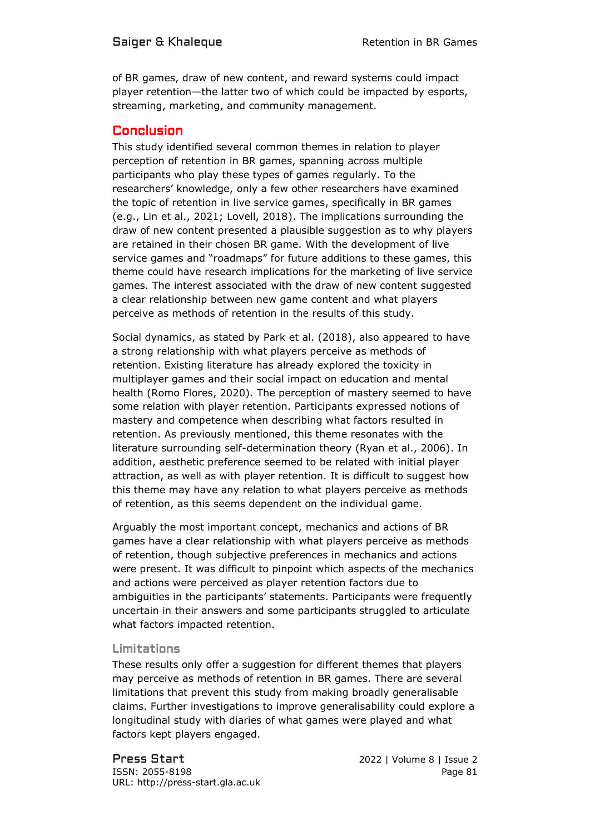of BR games, draw of new content, and reward systems could impact player retention—the latter two of which could be impacted by esports, streaming, marketing, and community management.

# **Conclusion**

This study identified several common themes in relation to player perception of retention in BR games, spanning across multiple participants who play these types of games regularly. To the researchers' knowledge, only a few other researchers have examined the topic of retention in live service games, specifically in BR games (e.g., Lin et al., 2021; Lovell, 2018). The implications surrounding the draw of new content presented a plausible suggestion as to why players are retained in their chosen BR game. With the development of live service games and "roadmaps" for future additions to these games, this theme could have research implications for the marketing of live service games. The interest associated with the draw of new content suggested a clear relationship between new game content and what players perceive as methods of retention in the results of this study.

Social dynamics, as stated by Park et al. (2018), also appeared to have a strong relationship with what players perceive as methods of retention. Existing literature has already explored the toxicity in multiplayer games and their social impact on education and mental health (Romo Flores, 2020). The perception of mastery seemed to have some relation with player retention. Participants expressed notions of mastery and competence when describing what factors resulted in retention. As previously mentioned, this theme resonates with the literature surrounding self-determination theory (Ryan et al., 2006). In addition, aesthetic preference seemed to be related with initial player attraction, as well as with player retention. It is difficult to suggest how this theme may have any relation to what players perceive as methods of retention, as this seems dependent on the individual game.

Arguably the most important concept, mechanics and actions of BR games have a clear relationship with what players perceive as methods of retention, though subjective preferences in mechanics and actions were present. It was difficult to pinpoint which aspects of the mechanics and actions were perceived as player retention factors due to ambiguities in the participants' statements. Participants were frequently uncertain in their answers and some participants struggled to articulate what factors impacted retention.

# Limitations

These results only offer a suggestion for different themes that players may perceive as methods of retention in BR games. There are several limitations that prevent this study from making broadly generalisable claims. Further investigations to improve generalisability could explore a longitudinal study with diaries of what games were played and what factors kept players engaged.

Press Start 2022 | Volume 8 | Issue 2 ISSN: 2055-8198 Page 81 URL: http://press-start.gla.ac.uk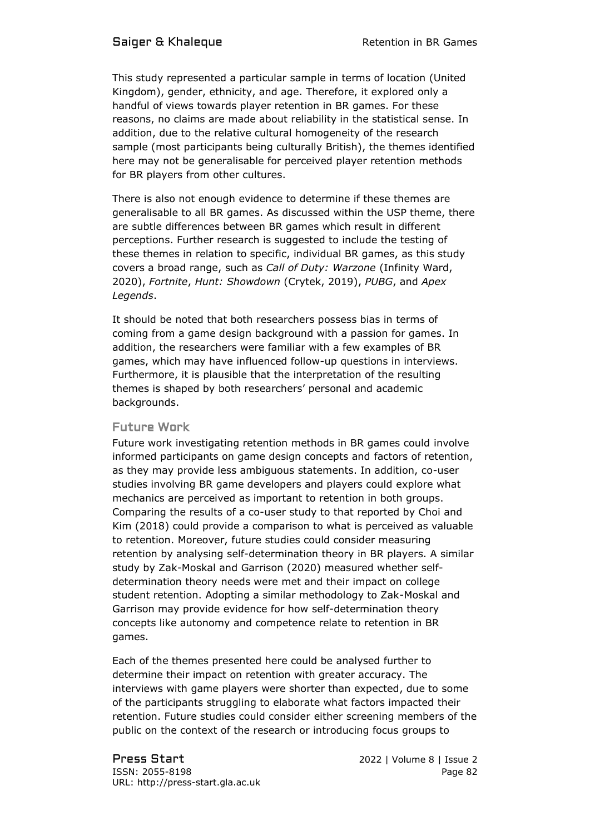#### Saiger & Khaleque **Retention** in BR Games

This study represented a particular sample in terms of location (United Kingdom), gender, ethnicity, and age. Therefore, it explored only a handful of views towards player retention in BR games. For these reasons, no claims are made about reliability in the statistical sense. In addition, due to the relative cultural homogeneity of the research sample (most participants being culturally British), the themes identified here may not be generalisable for perceived player retention methods for BR players from other cultures.

There is also not enough evidence to determine if these themes are generalisable to all BR games. As discussed within the USP theme, there are subtle differences between BR games which result in different perceptions. Further research is suggested to include the testing of these themes in relation to specific, individual BR games, as this study covers a broad range, such as *Call of Duty: Warzone* (Infinity Ward, 2020), *Fortnite*, *Hunt: Showdown* (Crytek, 2019), *PUBG*, and *Apex Legends*.

It should be noted that both researchers possess bias in terms of coming from a game design background with a passion for games. In addition, the researchers were familiar with a few examples of BR games, which may have influenced follow-up questions in interviews. Furthermore, it is plausible that the interpretation of the resulting themes is shaped by both researchers' personal and academic backgrounds.

#### Future Work

Future work investigating retention methods in BR games could involve informed participants on game design concepts and factors of retention, as they may provide less ambiguous statements. In addition, co-user studies involving BR game developers and players could explore what mechanics are perceived as important to retention in both groups. Comparing the results of a co-user study to that reported by Choi and Kim (2018) could provide a comparison to what is perceived as valuable to retention. Moreover, future studies could consider measuring retention by analysing self-determination theory in BR players. A similar study by Zak-Moskal and Garrison (2020) measured whether selfdetermination theory needs were met and their impact on college student retention. Adopting a similar methodology to Zak-Moskal and Garrison may provide evidence for how self-determination theory concepts like autonomy and competence relate to retention in BR games.

Each of the themes presented here could be analysed further to determine their impact on retention with greater accuracy. The interviews with game players were shorter than expected, due to some of the participants struggling to elaborate what factors impacted their retention. Future studies could consider either screening members of the public on the context of the research or introducing focus groups to

Press Start 2022 | Volume 8 | Issue 2 ISSN: 2055-8198 Page 82 URL: http://press-start.gla.ac.uk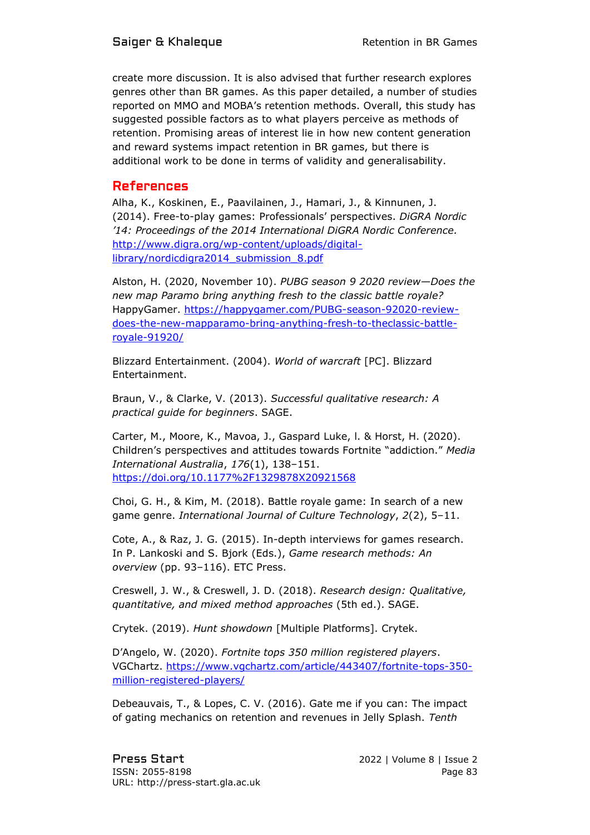create more discussion. It is also advised that further research explores genres other than BR games. As this paper detailed, a number of studies reported on MMO and MOBA's retention methods. Overall, this study has suggested possible factors as to what players perceive as methods of retention. Promising areas of interest lie in how new content generation and reward systems impact retention in BR games, but there is additional work to be done in terms of validity and generalisability.

## References

Alha, K., Koskinen, E., Paavilainen, J., Hamari, J., & Kinnunen, J. (2014). Free-to-play games: Professionals' perspectives. *DiGRA Nordic '14: Proceedings of the 2014 International DiGRA Nordic Conference.* [http://www.digra.org/wp-content/uploads/digital](http://www.digra.org/wp-content/uploads/digital-library/nordicdigra2014_submission_8.pdf)[library/nordicdigra2014\\_submission\\_8.pdf](http://www.digra.org/wp-content/uploads/digital-library/nordicdigra2014_submission_8.pdf)

Alston, H. (2020, November 10). *PUBG season 9 2020 review—Does the new map Paramo bring anything fresh to the classic battle royale?* HappyGamer. [https://happygamer.com/PUBG-season-92020-review](https://happygamer.com/PUBG-season-92020-review-does-the-new-mapparamo-bring-anything-fresh-to-theclassic-battle-royale-91920/)[does-the-new-mapparamo-bring-anything-fresh-to-theclassic-battle](https://happygamer.com/PUBG-season-92020-review-does-the-new-mapparamo-bring-anything-fresh-to-theclassic-battle-royale-91920/)[royale-91920/](https://happygamer.com/PUBG-season-92020-review-does-the-new-mapparamo-bring-anything-fresh-to-theclassic-battle-royale-91920/)

Blizzard Entertainment. (2004). *World of warcraft* [PC]. Blizzard Entertainment.

Braun, V., & Clarke, V. (2013). *Successful qualitative research: A practical guide for beginners*. SAGE.

Carter, M., Moore, K., Mavoa, J., Gaspard Luke, l. & Horst, H. (2020). Children's perspectives and attitudes towards Fortnite "addiction." *Media International Australia*, *176*(1), 138–151. <https://doi.org/10.1177%2F1329878X20921568>

Choi, G. H., & Kim, M. (2018). Battle royale game: In search of a new game genre. *International Journal of Culture Technology*, *2*(2), 5–11.

Cote, A., & Raz, J. G. (2015). In-depth interviews for games research. In P. Lankoski and S. Bjork (Eds.), *Game research methods: An overview* (pp. 93–116). ETC Press.

Creswell, J. W., & Creswell, J. D. (2018). *Research design: Qualitative, quantitative, and mixed method approaches* (5th ed.). SAGE.

Crytek. (2019). *Hunt showdown* [Multiple Platforms]. Crytek.

D'Angelo, W. (2020). *Fortnite tops 350 million registered players*. VGChartz. [https://www.vgchartz.com/article/443407/fortnite-tops-350](https://www.vgchartz.com/article/443407/fortnite-tops-350-million-registered-players/) [million-registered-players/](https://www.vgchartz.com/article/443407/fortnite-tops-350-million-registered-players/)

Debeauvais, T., & Lopes, C. V. (2016). Gate me if you can: The impact of gating mechanics on retention and revenues in Jelly Splash. *Tenth*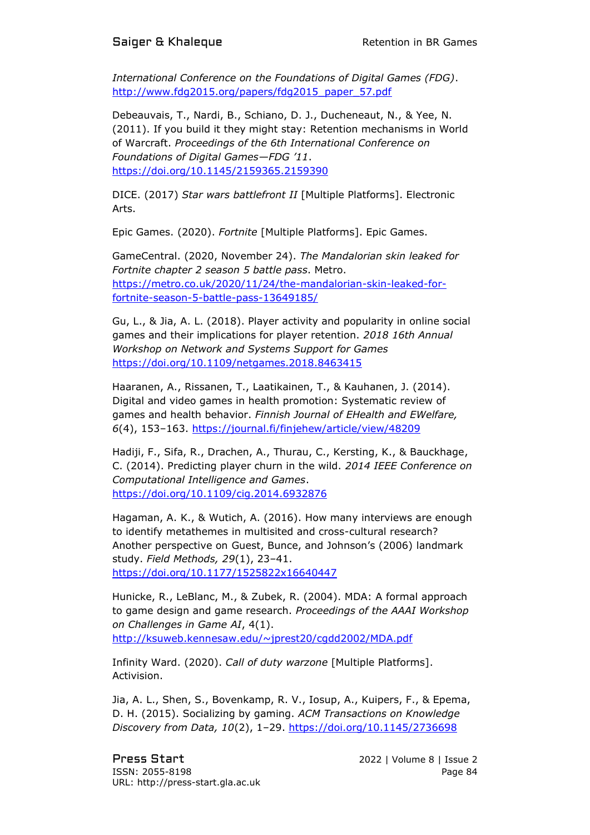*International Conference on the Foundations of Digital Games (FDG)*. http://www.fdq2015.org/papers/fdq2015\_paper\_57.pdf

Debeauvais, T., Nardi, B., Schiano, D. J., Ducheneaut, N., & Yee, N. (2011). If you build it they might stay: Retention mechanisms in World of Warcraft. *Proceedings of the 6th International Conference on Foundations of Digital Games—FDG '11*. <https://doi.org/10.1145/2159365.2159390>

DICE. (2017) *Star wars battlefront II* [Multiple Platforms]. Electronic Arts.

Epic Games. (2020). *Fortnite* [Multiple Platforms]. Epic Games.

GameCentral. (2020, November 24). *The Mandalorian skin leaked for Fortnite chapter 2 season 5 battle pass*. Metro. [https://metro.co.uk/2020/11/24/the-mandalorian-skin-leaked-for](https://metro.co.uk/2020/11/24/the-mandalorian-skin-leaked-for-fortnite-season-5-battle-pass-13649185/)[fortnite-season-5-battle-pass-13649185/](https://metro.co.uk/2020/11/24/the-mandalorian-skin-leaked-for-fortnite-season-5-battle-pass-13649185/)

Gu, L., & Jia, A. L. (2018). Player activity and popularity in online social games and their implications for player retention. *2018 16th Annual Workshop on Network and Systems Support for Games* <https://doi.org/10.1109/netgames.2018.8463415>

Haaranen, A., Rissanen, T., Laatikainen, T., & Kauhanen, J. (2014). Digital and video games in health promotion: Systematic review of games and health behavior. *Finnish Journal of EHealth and EWelfare, 6*(4), 153–163.<https://journal.fi/finjehew/article/view/48209>

Hadiji, F., Sifa, R., Drachen, A., Thurau, C., Kersting, K., & Bauckhage, C. (2014). Predicting player churn in the wild. *2014 IEEE Conference on Computational Intelligence and Games*. <https://doi.org/10.1109/cig.2014.6932876>

Hagaman, A. K., & Wutich, A. (2016). How many interviews are enough to identify metathemes in multisited and cross-cultural research? Another perspective on Guest, Bunce, and Johnson's (2006) landmark study. *Field Methods, 29*(1), 23–41. <https://doi.org/10.1177/1525822x16640447>

Hunicke, R., LeBlanc, M., & Zubek, R. (2004). MDA: A formal approach to game design and game research. *Proceedings of the AAAI Workshop on Challenges in Game AI*, 4(1). <http://ksuweb.kennesaw.edu/~jprest20/cgdd2002/MDA.pdf>

Infinity Ward. (2020). *Call of duty warzone* [Multiple Platforms]. Activision.

Jia, A. L., Shen, S., Bovenkamp, R. V., Iosup, A., Kuipers, F., & Epema, D. H. (2015). Socializing by gaming. *ACM Transactions on Knowledge Discovery from Data, 10*(2), 1–29.<https://doi.org/10.1145/2736698>

Press Start 2022 | Volume 8 | Issue 2 ISSN: 2055-8198 Page 84 URL: http://press-start.gla.ac.uk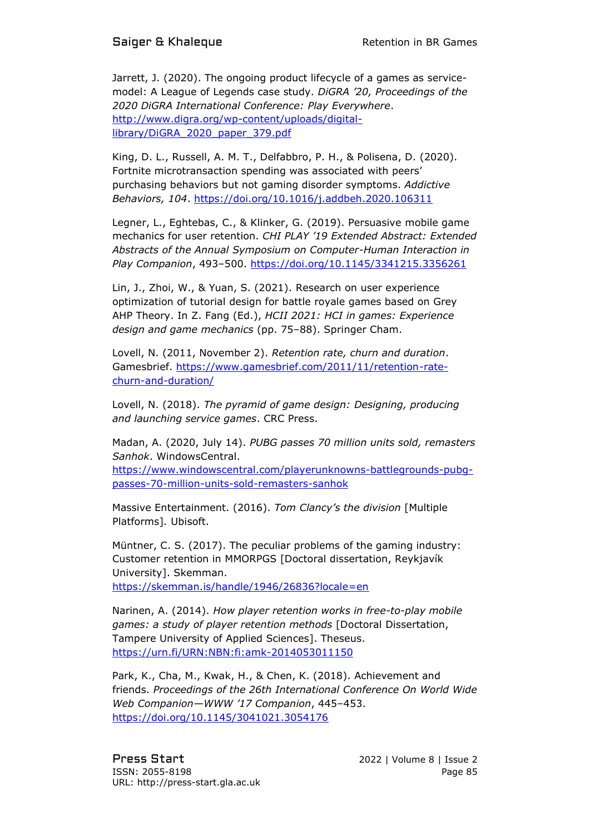Jarrett, J. (2020). The ongoing product lifecycle of a games as servicemodel: A League of Legends case study. *DiGRA '20, Proceedings of the 2020 DiGRA International Conference: Play Everywhere*. [http://www.digra.org/wp-content/uploads/digital](http://www.digra.org/wp-content/uploads/digital-library/DiGRA_2020_paper_379.pdf)[library/DiGRA\\_2020\\_paper\\_379.pdf](http://www.digra.org/wp-content/uploads/digital-library/DiGRA_2020_paper_379.pdf)

King, D. L., Russell, A. M. T., Delfabbro, P. H., & Polisena, D. (2020). Fortnite microtransaction spending was associated with peers' purchasing behaviors but not gaming disorder symptoms. *Addictive Behaviors, 104*.<https://doi.org/10.1016/j.addbeh.2020.106311>

Legner, L., Eghtebas, C., & Klinker, G. (2019). Persuasive mobile game mechanics for user retention. *CHI PLAY '19 Extended Abstract: Extended Abstracts of the Annual Symposium on Computer-Human Interaction in Play Companion*, 493–500.<https://doi.org/10.1145/3341215.3356261>

Lin, J., Zhoi, W., & Yuan, S. (2021). Research on user experience optimization of tutorial design for battle royale games based on Grey AHP Theory. In Z. Fang (Ed.), *HCII 2021: HCI in games: Experience design and game mechanics* (pp. 75–88). Springer Cham.

Lovell, N. (2011, November 2). *Retention rate, churn and duration*. Gamesbrief. [https://www.gamesbrief.com/2011/11/retention-rate](https://www.gamesbrief.com/2011/11/retention-rate-churn-and-duration/)[churn-and-duration/](https://www.gamesbrief.com/2011/11/retention-rate-churn-and-duration/)

Lovell, N. (2018). *The pyramid of game design: Designing, producing and launching service games*. CRC Press.

Madan, A. (2020, July 14). *PUBG passes 70 million units sold, remasters Sanhok*. WindowsCentral.

[https://www.windowscentral.com/playerunknowns-battlegrounds-pubg](https://www.windowscentral.com/playerunknowns-battlegrounds-pubg-passes-70-million-units-sold-remasters-sanhok)[passes-70-million-units-sold-remasters-sanhok](https://www.windowscentral.com/playerunknowns-battlegrounds-pubg-passes-70-million-units-sold-remasters-sanhok)

Massive Entertainment. (2016). *Tom Clancy's the division* [Multiple Platforms]*.* Ubisoft.

Müntner, C. S. (2017). The peculiar problems of the gaming industry: Customer retention in MMORPGS [Doctoral dissertation, Reykjavík University]. Skemman. <https://skemman.is/handle/1946/26836?locale=en>

Narinen, A. (2014). *How player retention works in free-to-play mobile games: a study of player retention methods* [Doctoral Dissertation, Tampere University of Applied Sciences]. Theseus.

<https://urn.fi/URN:NBN:fi:amk-2014053011150>

Park, K., Cha, M., Kwak, H., & Chen, K. (2018). Achievement and friends. *Proceedings of the 26th International Conference On World Wide Web Companion—WWW '17 Companion*, 445–453. <https://doi.org/10.1145/3041021.3054176>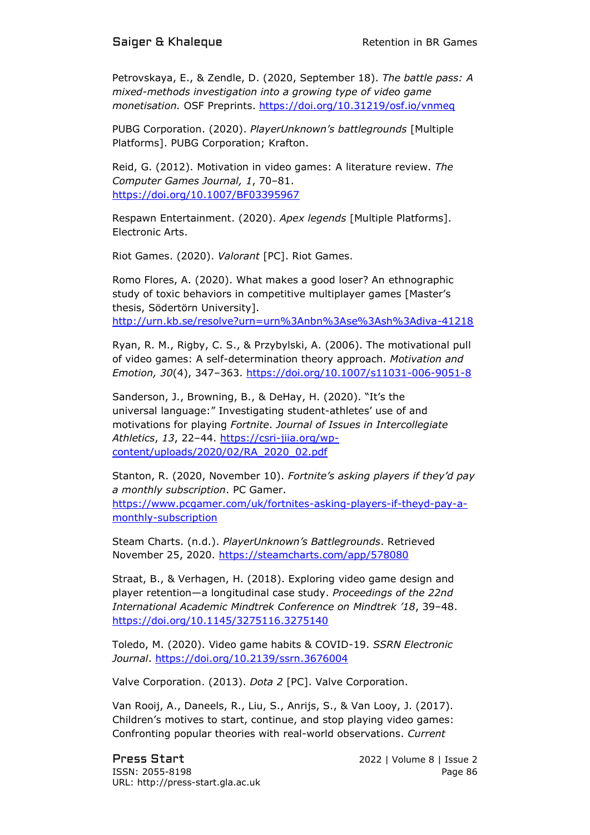Petrovskaya, E., & Zendle, D. (2020, September 18). *The battle pass: A mixed-methods investigation into a growing type of video game monetisation.* OSF Preprints.<https://doi.org/10.31219/osf.io/vnmeq>

PUBG Corporation. (2020). *PlayerUnknown's battlegrounds* [Multiple Platforms]. PUBG Corporation; Krafton.

Reid, G. (2012). Motivation in video games: A literature review. *The Computer Games Journal, 1*, 70–81. <https://doi.org/10.1007/BF03395967>

Respawn Entertainment. (2020). *Apex legends* [Multiple Platforms]. Electronic Arts.

Riot Games. (2020). *Valorant* [PC]. Riot Games.

Romo Flores, A. (2020). What makes a good loser? An ethnographic study of toxic behaviors in competitive multiplayer games [Master's thesis, Södertörn University]. <http://urn.kb.se/resolve?urn=urn%3Anbn%3Ase%3Ash%3Adiva-41218>

Ryan, R. M., Rigby, C. S., & Przybylski, A. (2006). The motivational pull of video games: A self-determination theory approach. *Motivation and Emotion, 30*(4), 347–363.<https://doi.org/10.1007/s11031-006-9051-8>

Sanderson, J., Browning, B., & DeHay, H. (2020). "It's the universal language:" Investigating student-athletes' use of and motivations for playing *Fortnite*. *Journal of Issues in Intercollegiate Athletics*, *13*, 22–44. [https://csri-jiia.org/wp](https://csri-jiia.org/wp-content/uploads/2020/02/RA_2020_02.pdf)[content/uploads/2020/02/RA\\_2020\\_02.pdf](https://csri-jiia.org/wp-content/uploads/2020/02/RA_2020_02.pdf)

Stanton, R. (2020, November 10). *Fortnite's asking players if they'd pay a monthly subscription*. PC Gamer. [https://www.pcgamer.com/uk/fortnites-asking-players-if-theyd-pay-a](https://www.pcgamer.com/uk/fortnites-asking-players-if-theyd-pay-a-monthly-subscription)[monthly-subscription](https://www.pcgamer.com/uk/fortnites-asking-players-if-theyd-pay-a-monthly-subscription) 

Steam Charts. (n.d.). *PlayerUnknown's Battlegrounds*. Retrieved November 25, 2020. <https://steamcharts.com/app/578080>

Straat, B., & Verhagen, H. (2018). Exploring video game design and player retention—a longitudinal case study. *Proceedings of the 22nd International Academic Mindtrek Conference on Mindtrek '18*, 39–48. <https://doi.org/10.1145/3275116.3275140>

Toledo, M. (2020). Video game habits & COVID-19. *SSRN Electronic Journal*.<https://doi.org/10.2139/ssrn.3676004>

Valve Corporation. (2013). *Dota 2* [PC]. Valve Corporation.

Van Rooij, A., Daneels, R., Liu, S., Anrijs, S., & Van Looy, J. (2017). Children's motives to start, continue, and stop playing video games: Confronting popular theories with real-world observations. *Current* 

Press Start 2022 | Volume 8 | Issue 2 ISSN: 2055-8198 Page 86 URL: http://press-start.gla.ac.uk